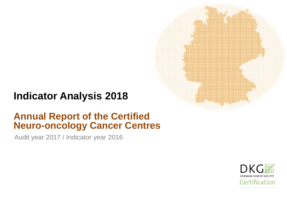# **Indicator Analysis 2018**

# **Annual Report of the Certified Neuro-oncology Cancer Centres**

Audit year 2017 / Indicator year 2016

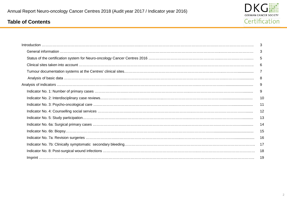

# <span id="page-1-0"></span>**Table of Contents**

| $\begin{minipage}[c]{0.9\linewidth} \textbf{Introduction} \end{minipage}[c]{0.9\linewidth} \textbf{Introduction} \begin{minipage}[c]{0.9\linewidth} \textbf{Matrix} \end{minipage}[c]{0.9\linewidth} \textbf{Matrix} \end{minipage}[c]{0.9\linewidth} \textbf{Matrix} \end{minipage}[c]{0.9\linewidth} \textbf{Matrix} \end{minipage}[c]{0.9\linewidth} \textbf{Matrix} \end{minipage}[c]{0.9\linewidth} \textbf{Matrix} \end{minipage}[c]{0.9\linewidth} \textbf{Matrix} \end{minipage}[c]{0.9\linewidth} \textbf{Matrix} \end{minipage}[c]{0$ | 3  |
|-------------------------------------------------------------------------------------------------------------------------------------------------------------------------------------------------------------------------------------------------------------------------------------------------------------------------------------------------------------------------------------------------------------------------------------------------------------------------------------------------------------------------------------------------|----|
|                                                                                                                                                                                                                                                                                                                                                                                                                                                                                                                                                 | 3  |
|                                                                                                                                                                                                                                                                                                                                                                                                                                                                                                                                                 | 5  |
|                                                                                                                                                                                                                                                                                                                                                                                                                                                                                                                                                 | 6  |
|                                                                                                                                                                                                                                                                                                                                                                                                                                                                                                                                                 | 7  |
|                                                                                                                                                                                                                                                                                                                                                                                                                                                                                                                                                 | 8  |
|                                                                                                                                                                                                                                                                                                                                                                                                                                                                                                                                                 | 9  |
|                                                                                                                                                                                                                                                                                                                                                                                                                                                                                                                                                 | 9  |
|                                                                                                                                                                                                                                                                                                                                                                                                                                                                                                                                                 | 10 |
|                                                                                                                                                                                                                                                                                                                                                                                                                                                                                                                                                 | 11 |
|                                                                                                                                                                                                                                                                                                                                                                                                                                                                                                                                                 | 12 |
|                                                                                                                                                                                                                                                                                                                                                                                                                                                                                                                                                 | 13 |
|                                                                                                                                                                                                                                                                                                                                                                                                                                                                                                                                                 | 14 |
|                                                                                                                                                                                                                                                                                                                                                                                                                                                                                                                                                 | 15 |
|                                                                                                                                                                                                                                                                                                                                                                                                                                                                                                                                                 | 16 |
|                                                                                                                                                                                                                                                                                                                                                                                                                                                                                                                                                 | 17 |
|                                                                                                                                                                                                                                                                                                                                                                                                                                                                                                                                                 | 18 |
|                                                                                                                                                                                                                                                                                                                                                                                                                                                                                                                                                 | 19 |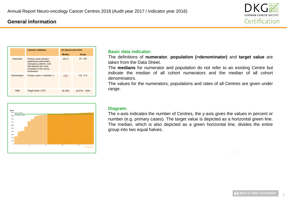### <span id="page-2-0"></span>**General information**



|             | Indicator definition                                                                                                                                  | All clinical sites 2016 |               |  |  |
|-------------|-------------------------------------------------------------------------------------------------------------------------------------------------------|-------------------------|---------------|--|--|
|             |                                                                                                                                                       | <b>Median</b>           | Range         |  |  |
| Numerator   | Primary cases (elective<br>patients:pre-intervention,<br>emergency patients: post-<br>intervention) who were<br>presented in the tumour<br>conference | $202.5*$                | $24 - 442$    |  |  |
| Denominator | Primary cases (= Indicator 1)                                                                                                                         | $214*$                  | $110 - 613$   |  |  |
| Rate        | Target value $\geq 95\%$                                                                                                                              | 96.36%                  | 20.87% - 100% |  |  |



#### **Basic data indicator:**

The definitions of **numerator**, **population (=denominator)** and **target value** are taken from the Data Sheet.

The **medians** for numerator and population do not refer to an existing Centre but indicate the median of all cohort numerators and the median of all cohort denominators.

The values for the numerators, populations and rates of all Centres are given under range.

#### **Diagram:**

The x-axis indicates the number of Centres, the y-axis gives the values in percent or number (e.g. primary cases). The target value is depicted as a horizontal green line. The median, which is also depicted as a green horizontal line, divides the entire group into two equal halves.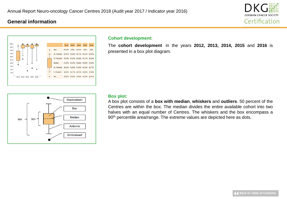### **General information**





#### **Cohort development:**

The **cohort development** in the years **2012, 2013, 2014, 2015** and **2016** is presented in a box plot diagram.



#### **Box plot:**

A box plot consists of a **box with median**, **whiskers** and **outliers**. 50 percent of the Centres are within the box. The median divides the entire available cohort into two halves with an equal number of Centres. The whiskers and the box encompass a 90<sup>th</sup> percentile area/range. The extreme values are depicted here as dots.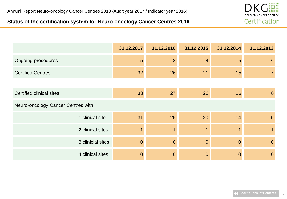# <span id="page-4-0"></span>**Status of the certification system for Neuro-oncology Cancer Centres 2016**



|                                    | 31.12.2017     | 31.12.2016     | 31.12.2015     | 31.12.2014 | 31.12.2013     |
|------------------------------------|----------------|----------------|----------------|------------|----------------|
| <b>Ongoing procedures</b>          | $5\phantom{1}$ | 8              | $\overline{4}$ | 5          | 6              |
| <b>Certified Centres</b>           | 32             | 26             | 21             | 15         |                |
|                                    |                |                |                |            |                |
| <b>Certified clinical sites</b>    | 33             | 27             | 22             | 16         | 8              |
| Neuro-oncology Cancer Centres with |                |                |                |            |                |
| 1 clinical site                    | 31             | 25             | 20             | 14         | 6              |
| 2 clinical sites                   | 1              |                |                |            |                |
| 3 clinicial sites                  | $\overline{0}$ | $\overline{0}$ | $\overline{0}$ | $\Omega$   | $\overline{0}$ |
| 4 clinical sites                   | $\overline{0}$ | $\overline{0}$ | 0              | 0          | $\mathbf{0}$   |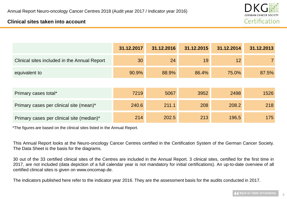

### <span id="page-5-0"></span>**Clinical sites taken into account**

|                                              | 31.12.2017 | 31.12.2016 | 31.12.2015 | 31.12.2014 | 31.12.2013     |
|----------------------------------------------|------------|------------|------------|------------|----------------|
| Clinical sites included in the Annual Report | 30         | 24         | 19         | 12         | $\overline{7}$ |
| equivalent to                                | 90.9%      | 88.9%      | 86.4%      | 75.0%      | 87.5%          |
|                                              |            |            |            |            |                |
| Primary cases total*                         | 7219       | 5067       | 3952       | 2498       | 1526           |
| Primary cases per clinical site (mean)*      | 240.6      | 211.1      | 208        | 208.2      | 218            |
| Primary cases per clinical site (median)*    | 214        | 202.5      | 213        | 196,5      | 175            |

\*The figures are based on the clinical sites listed in the Annual Report.

This Annual Report looks at the Neuro-oncology Cancer Centres certified in the Certification System of the German Cancer Society. The Data Sheet is the basis for the diagrams.

30 out of the 33 certified clinical sites of the Centres are included in the Annual Report. 3 clinical sites, certified for the first time in 2017, are not included (data depiction of a full calendar year is not mandatory for initial certifications). An up-to-date overview of all certified clinical sites is given on www.oncomap.de.

The indicators published here refer to the indicator year 2016. They are the assessment basis for the audits conducted in 2017.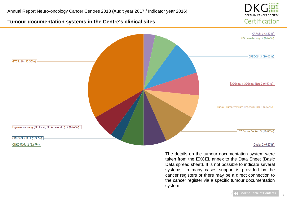

### <span id="page-6-0"></span>**Tumour documentation systems in the Centre's clinical sites**



The details on the tumour documentation system were taken from the EXCEL annex to the Data Sheet (Basic Data spread sheet). It is not possible to indicate several systems. In many cases support is provided by the cancer registers or there may be a direct connection to the cancer register via a specific tumour documentation system.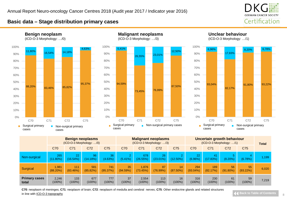

### <span id="page-7-0"></span>**Basic data – Stage distribution primary cases**







**Unclear behaviour**





| <b>Benign neoplasms</b><br>$(ICD-O-3 Morphology: \ldots/0)$ |                      |                  |                    | <b>Malignant neoplasms</b><br>(ICD-O-3 Morphology: /3) |                        | <b>Uncertain growth behaviour</b><br>$(ICD-O-3 Morphology: /1)$ |                   |                       | <b>Total</b>       |                  |                   |                   |       |
|-------------------------------------------------------------|----------------------|------------------|--------------------|--------------------------------------------------------|------------------------|-----------------------------------------------------------------|-------------------|-----------------------|--------------------|------------------|-------------------|-------------------|-------|
|                                                             | C70                  | C71              | C72                | C75                                                    | C70                    | C71                                                             | C72               | C75                   | C70                | C71              | C72               | C75               |       |
| Non-surgical                                                | 265<br>$(11.80\%)$   | 22<br>(16.54%)   | 96<br>(14.18%)     | 36<br>(4.63%)                                          | $\Omega$<br>$(5.41\%)$ | 678<br>(26.55%)                                                 | 26<br>$(23.01\%)$ | $\sim$<br>$(12.50\%)$ | 22<br>(6.96%)      | 41<br>(17.83%)   | 5<br>$(8.20\%)$   | (6.78%)           | 1,199 |
| <b>Surgical</b>                                             | 1.981<br>$(88.20\%)$ | 111<br>(83.46%)  | 581<br>$(85.82\%)$ | 741<br>(95.37%)                                        | 35<br>(94.59%)         | 1.876<br>(73.45%)                                               | 87<br>(76.99%)    | 14<br>$(87.50\%)$     | 294<br>$(93.04\%)$ | 189<br>(82.17%)  | 56<br>$(91.80\%)$ | 55<br>$(93.22\%)$ | 6,020 |
| <b>Primary cases</b><br>total                               | 2.246<br>$(100\%)$   | 133<br>$(100\%)$ | 677<br>$(100\%)$   | 777<br>$(100\%)$                                       | 37<br>$(100\%)$        | 2,554<br>$(100\%)$                                              | 113<br>$(100\%)$  | 16<br>$(100\%)$       | 316<br>$(100\%)$   | 230<br>$(100\%)$ | 61<br>$(100\%)$   | 59<br>$(100\%)$   | 7,219 |

**C70**: neoplasm of meninges; **C71**: neoplasm of brain; **C72**: neoplasm of medulla and cerebral nerves; **C75**: Other endocrine glands and related structures in line with ICD-O-3 topography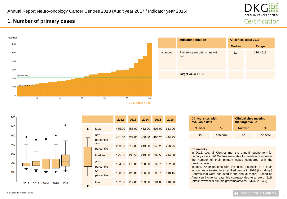

# <span id="page-8-0"></span>**1. Number of primary cases**



| 700-    |                                                                                                                           |
|---------|---------------------------------------------------------------------------------------------------------------------------|
| 600     |                                                                                                                           |
| 500     |                                                                                                                           |
| 400     |                                                                                                                           |
| $300 -$ |                                                                                                                           |
| $200 -$ | $\frac{1}{2} \left( \frac{1}{2} \right) \left( \frac{1}{2} \right) \left( \frac{1}{2} \right) \left( \frac{1}{2} \right)$ |
| 100     |                                                                                                                           |
|         | 2012<br>2013<br>2014<br>2015<br>2016                                                                                      |

|  |                                | 2012   | 2013   | 2014   | 2015   | 2016   |
|--|--------------------------------|--------|--------|--------|--------|--------|
|  | Max                            | 485.00 | 455.00 | 462.00 | 503.00 | 613.00 |
|  | 95 <sup>th</sup><br>percentile | 401.60 | 329.05 | 400.80 | 405.20 | 444.25 |
|  | 75 <sup>th</sup><br>percentile | 203.00 | 219.00 | 243.50 | 243.25 | 290.25 |
|  | Median                         | 175.00 | 196.50 | 213.00 | 202.50 | 214.00 |
|  | 25 <sup>th</sup><br>percentile | 164.00 | 170.00 | 130.50 | 139.75 | 162.00 |
|  | 5 <sup>th</sup><br>percentile  | 138.60 | 126.85 | 106.60 | 108.75 | 118.15 |
|  | <b>Min</b>                     | 132.00 | 112.00 | 103.00 | 104.00 | 110.00 |

|               | <b>Indicator definition</b>              | All clinical sites 2016 |             |
|---------------|------------------------------------------|-------------------------|-------------|
|               |                                          | <b>Median</b>           | Range       |
| <b>Number</b> | Primary cases def. in line with<br>1.2.1 | 214                     | $110 - 613$ |
|               | Target value $\geq 100$                  |                         |             |

| <b>Clinical sites with</b><br>evaluable data |         | <b>Clinical sites meeting</b><br>the target value |         |  |
|----------------------------------------------|---------|---------------------------------------------------|---------|--|
| <b>Number</b>                                | %       | <b>Number</b>                                     | $\%$    |  |
| 30                                           | 100.00% | 30                                                | 100.00% |  |

#### **Comments**:

In 2016, too, all Centres met the annual requirement for primary cases. 20 Centres were able to maintain or increase the number of their primary cases compared with the previous year.

In total, 7,439 patients with the initial diagnosis of a brain tumour were treated in a certified centre in 2016 (including 3 Centres that were not listed in the annual report). Based on American incidence data this corresponded to a rate of 41% (https://www.ncbi.nlm.nih.gov/pmc/articles/PMC4623240/).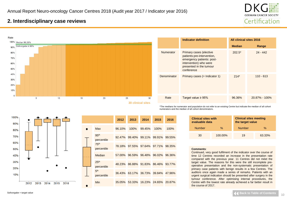

### <span id="page-9-0"></span>**2. Interdisciplinary case reviews**



|             | <b>Indicator definition</b>                                                                                                                           | All clinical sites 2016 |                   |
|-------------|-------------------------------------------------------------------------------------------------------------------------------------------------------|-------------------------|-------------------|
|             |                                                                                                                                                       | <b>Median</b>           | Range             |
| Numerator   | Primary cases (elective<br>patients:pre-intervention,<br>emergency patients: post-<br>intervention) who were<br>presented in the tumour<br>conference | $202.5*$                | $24 - 442$        |
| Denominator | Primary cases $(=$ Indicator 1)                                                                                                                       | $214*$                  | $110 - 613$       |
| Rate        | Target value $\geq 95\%$                                                                                                                              | 96.36%                  | $20.87\% - 100\%$ |

\*The medians for numerator and population do not refer to an existing Centre but indicate the median of all cohort numerators and the median of all cohort denominators.

100% 90% 80% 70% 60% 50% 40% 30% 20% 10% 2012 2013 2014 2015 2016

|  |                                | 2012   | 2013   | 2014                 | 2015 | 2016   |
|--|--------------------------------|--------|--------|----------------------|------|--------|
|  | Max                            | 96.10% | 100%   | 99.45%               | 100% | 100%   |
|  | 95 <sup>th</sup><br>percentile | 92.47% |        | 99.40% 99.11% 99.91% |      | 99.55% |
|  | <b>75th</b><br>percentile      | 78.18% |        | 97.55% 97.64% 97.71% |      | 98.35% |
|  | Median                         | 57.00% | 96.59% | 96.48% 96.02%        |      | 96.36% |
|  | 25 <sup>th</sup><br>percentile | 48.23% |        | 86.88% 91.83% 86.46% |      | 93.77% |
|  | 5 <sup>th</sup><br>percentile  | 36.43% |        | 63.17% 36.73% 39.84% |      | 47.96% |
|  | Min                            | 35.05% | 53.33% | 16.23% 24.65%        |      | 20.87% |

#### **evaluable data the target value** Number % Number % 30 100.00% 19 63.33%

#### **Comments**:

**Clinical sites with** 

Continued, very good fulfilment of the indicator over the course of time 12 Centres recorded an increase in the presentation rate compared with the previous year. 11 Centres did not méet the target value. The reasons for this were the still incomplete preoperative presentation and the non-systematic presentation of primary case patients with benign results in a few Centres. The auditors once again made a series of remarks. Patients with an urgent surgical indication should be presented after surgery in the tumour conference. After optimising internal procedures, the Centre with the lowest rate already achieved a far better result in the course of 2017.

**Clinical sites meeting**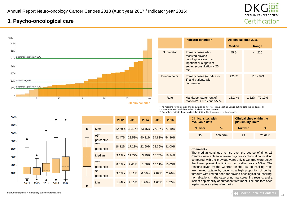

# <span id="page-10-0"></span>**3. Psycho-oncological care**



|             | <b>Indicator definition</b>                                                                                                           | <b>All clinical sites 2016</b> |                |
|-------------|---------------------------------------------------------------------------------------------------------------------------------------|--------------------------------|----------------|
|             |                                                                                                                                       | <b>Median</b>                  | Range          |
| Numerator   | Primary cases who<br>received psycho-<br>oncological care in an<br>inpatient or outpatient<br>setting (consultation $\geq 25$<br>min) | $45.5*$                        | $4 - 220$      |
| Denominator | Primary cases (= Indicator<br>1) and patients with<br>recurrence                                                                      | $223.5*$                       | $110 - 829$    |
| Rate        | Mandatory statement of<br>reasons** $< 10\%$ and $>50\%$                                                                              | 18.24%                         | 1.52% - 77.19% |

\*The medians for numerator and population do not refer to an existing Centre but indicate the median of all cohort numerators and the median of all cohort denominators.

\*\* For values outside the plausibility limit(s) the Centres must give the reasons.

| <b>Clinical sites with</b><br>evaluable data |         | <b>Clinical sites within the</b><br>plausibility limits |        |  |  |  |
|----------------------------------------------|---------|---------------------------------------------------------|--------|--|--|--|
| <b>Number</b>                                | $\%$    | <b>Number</b>                                           | %      |  |  |  |
| 30                                           | 100.00% | 23                                                      | 76.67% |  |  |  |

#### **Comments**:

The median continues to rise over the course of time. 15 Centres were able to increase psycho-oncological counselling compared with the previous year; only 5 Centres were below the lower plausibility limit (= counselling rate <10%). The reasons given by the Centres for the low counselling rates are: limited uptake by patients, a high proportion of benign tumours with limited need for psycho-oncological counselling, no indications in the case of normal screening results, and a lack of depictability of outpatient treatment. The auditors once again made a series of remarks.



| Max<br>52.59% 32.42% 63.45% 77.18%                                   | 77.19% |
|----------------------------------------------------------------------|--------|
| 95 <sup>th</sup><br>42.47% 28.58% 50.31% 54.83%<br>percentile        | 54.36% |
| 75 <sup>th</sup><br>17.21% 22.60%<br>18.12%<br>28.36%<br>percentile  | 31.00% |
| Median<br>11.72% 13.19%<br>9.19%<br>16.75%                           | 18.24% |
| 25 <sup>th</sup><br>10.11%<br>8.82%<br>7.48%<br>11.60%<br>percentile | 13.03% |
| 5 <sup>th</sup><br>4.11%<br>$3.57\%$<br>6.58%<br>7.89%<br>percentile | 2.26%  |
| Min<br>1.44%<br>2.16%<br>1.28%<br>1.68%                              | 1.52%  |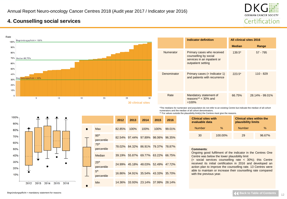

### <span id="page-11-0"></span>**4. Counselling social services**



|             | <b>Indicator definition</b>                                                                              | All clinical sites 2016 |                 |  |
|-------------|----------------------------------------------------------------------------------------------------------|-------------------------|-----------------|--|
|             |                                                                                                          | <b>Median</b>           | Range           |  |
| Numerator   | Primary cases who received<br>counselling by social<br>services in an inpatient or<br>outpatient setting | $139.5*$                | $57 - 795$      |  |
| Denominator | Primary cases $(=$ Indicator 1)<br>and patients with recurrence                                          | $223.5*$                | $110 - 829$     |  |
| Rate        | Mandatory statement of<br>reasons** $<$ 30% and<br>$=100%$                                               | 66.75%                  | 28.14% - 99.01% |  |

\*The medians for numerator and population do not refer to an existing Centre but indicate the median of all cohort numerators and the median of all cohort denominators.

|  |  | ** For values outside the plausibility limit(s) the Centres must give the reasons. |  |  |  |  |
|--|--|------------------------------------------------------------------------------------|--|--|--|--|
|  |  |                                                                                    |  |  |  |  |

| <b>Clinical sites with</b><br>evaluable data |         | <b>Clinical sites within the</b><br>plausibility limits |        |  |  |  |
|----------------------------------------------|---------|---------------------------------------------------------|--------|--|--|--|
| <b>Number</b>                                | %       | <b>Number</b>                                           | %      |  |  |  |
| 30                                           | 100.00% | 29                                                      | 96.67% |  |  |  |

#### **Comments**:

Ongoing good fulfilment of the indicator in the Centres One Centre was below the lower plausibility limit

(= social services counselling rate < 30%); this Centre received its initial certification in 2016 and developed an action plan to improve the counselling rate. 13 Centres were able to maintain or increase their counselling rate compared with the previous year.



|                                | 2012   | 2013 | 2014                        | 2015   | 2016   |
|--------------------------------|--------|------|-----------------------------|--------|--------|
| Max                            | 82.85% | 100% | 100%                        | 100%   | 99.01% |
| 95 <sup>th</sup><br>percentile | 82.54% |      | 97.44% 97.89%               | 98.06% | 96.35% |
| 75 <sup>th</sup><br>percentile | 78.02% |      | 84.32% 86.91% 79.37%        |        | 78.87% |
| Median                         | 39.19% |      | 55.87% 69.77% 63.22%        |        | 66.75% |
| 25 <sup>th</sup><br>percentile | 24.99% |      | 45.18% 48.03% 52.49% 47.72% |        |        |
| 5 <sup>th</sup><br>percentile  | 16.86% |      | 34.91% 35.54% 43.33% 35.70% |        |        |
| Min                            | 14.36% |      | 33.93% 23.14% 37.99% 28.14% |        |        |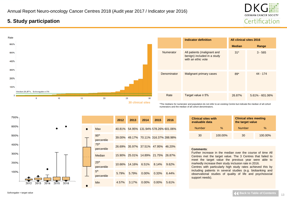

# <span id="page-12-0"></span>**5. Study participation**



|                  | <b>Indicator definition</b>                                                      | <b>All clinical sites 2016</b> |                     |  |
|------------------|----------------------------------------------------------------------------------|--------------------------------|---------------------|--|
|                  |                                                                                  | <b>Median</b>                  | Range               |  |
| <b>Numerator</b> | All patients (malignant and<br>benign) included in a study<br>with an ethic vote | $31*$                          | $3 - 565$           |  |
| Denominator      | <b>Malignant primary cases</b>                                                   | $89*$                          | 44 - 174            |  |
| Rate             | Target value $\geq 5\%$                                                          | 26.87%                         | $5.61\% - 601.06\%$ |  |

\*The medians for numerator and population do not refer to an existing Centre but indicate the median of all cohort numerators and the median of all cohort denominators.

| 700%-                                |           |                                | 2012   | 2013   | 2014     | 2015                                  | 2016  |
|--------------------------------------|-----------|--------------------------------|--------|--------|----------|---------------------------------------|-------|
| 600%                                 | $\bullet$ | Max                            |        |        |          | 40.81% 54.95% 131.94% 578.26% 601.06% |       |
| 500%                                 |           | 95 <sup>th</sup><br>percentile | 39.00% |        |          | 49.17% 70.11% 316.37% 288.98%         |       |
| 400%                                 |           | 75 <sup>th</sup><br>percentile | 26.69% |        |          | 35.97% 37.51% 47.95% 46.20%           |       |
| 300%                                 |           | Median                         | 15.90% |        |          | 25.01% 14.89% 21.75% 26.87%           |       |
| 200%                                 |           | 25 <sup>th</sup><br>percentile | 10.66% | 14.16% | 6.51%    | 8.14%                                 | 9.62% |
| 100%                                 |           | 5 <sup>th</sup><br>percentile  | 5.79%  | 5.79%  | $0.00\%$ | 0.33%                                 | 6.44% |
| 2016<br>2015<br>2012<br>2013<br>2014 |           | <b>Min</b>                     | 4.57%  | 3.17%  | $0.00\%$ | $0.00\%$                              | 5.61% |

 $\bullet$ 

| <b>Clinical sites with</b><br>evaluable data |         | <b>Clinical sites meeting</b><br>the target value |         |  |  |  |
|----------------------------------------------|---------|---------------------------------------------------|---------|--|--|--|
| <b>Number</b>                                | %       | <b>Number</b>                                     | %       |  |  |  |
| 30                                           | 100.00% | 30                                                | 100.00% |  |  |  |

#### **Comments**:

Further increase in the median over the course of time All Centres met the target value. The 3 Centres that failed to meet the target value the previous year were able to markedly increase their study inclusion rate in 2016.

Centres with particularly high study rates achieved this by including patients in several studies (e.g. biobanking and observational studies of quality of life and psychosocial support needs).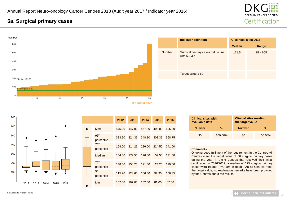

# <span id="page-13-0"></span>**6a. Surgical primary cases**



|               | <b>Indicator definition</b>                         | All clinical sites 2016 |            |  |  |
|---------------|-----------------------------------------------------|-------------------------|------------|--|--|
|               |                                                     | <b>Median</b>           | Range      |  |  |
| <b>Number</b> | Surgical primary cases def. in line<br>with 5.2.3.a | 171.5                   | $87 - 605$ |  |  |
|               | Target value $\geq 60$                              |                         |            |  |  |



|                                | 2012   | 2013   | 2014   | 2015   | 2016   |
|--------------------------------|--------|--------|--------|--------|--------|
| Max                            | 475.00 | 447.00 | 457.00 | 493.00 | 605.00 |
| 95 <sup>th</sup><br>percentile | 383.20 | 324.35 | 348.10 | 308.35 | 368.75 |
| 75 <sup>th</sup><br>percentile | 168.00 | 214.25 | 226.00 | 224.50 | 241.00 |
| Median                         | 154.00 | 179.50 | 176.00 | 159.50 | 171.50 |
| 25 <sup>th</sup><br>percentile | 148.50 | 158.25 | 121.50 | 124.25 | 129.00 |
| 5 <sup>th</sup><br>percentile  | 115.20 | 124.60 | 106.50 | 92.90  | 100.35 |
| <b>Min</b>                     | 102.00 | 107.00 | 102.00 | 81.00  | 87.00  |

| <b>Clinical sites with</b><br>evaluable data |         | <b>Clinical sites meeting</b><br>the target value |         |  |  |  |
|----------------------------------------------|---------|---------------------------------------------------|---------|--|--|--|
| <b>Number</b>                                | $\%$    | <b>Number</b>                                     | %       |  |  |  |
| 30                                           | 100.00% | 30                                                | 100.00% |  |  |  |

#### **Comments**:

Ongoing good fulfilment of the requirement in the Centres All Centres meet the target value of 60 surgical primary cases during the year. In the 6 Centres that received their initial certification in 2016/2017, a median of 175 surgical primary cases were treated (n=1,195 in total). As all Centres meet the target value, no explanatory remarks have been provided by the Centres about the results.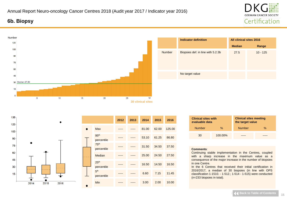# <span id="page-14-0"></span>**6b. Biopsy**

30 Median 27,50

 $\overline{5}$ 

2014

2015

15  $\Omega$ 

Number





2016

 $10<sup>10</sup>$ 

 $15$ 

 $20$ 

|                                | 2012 | 2013 | 2014  | 2015  | 2016   |
|--------------------------------|------|------|-------|-------|--------|
| <b>Max</b>                     |      |      | 81.00 | 62.00 | 125.00 |
| 95 <sup>th</sup><br>percentile |      |      | 53.10 | 61.25 | 86.80  |
| 75 <sup>th</sup><br>percentile |      |      | 31.50 | 34.50 | 37.50  |
| Median                         |      |      | 25.00 | 24.50 | 27.50  |
| 25 <sup>th</sup><br>percentile |      |      | 16.50 | 14.50 | 16.50  |
| 5 <sup>th</sup><br>percentile  |      |      | 6.60  | 7.15  | 11.45  |
| Min                            |      |      | 3.00  | 2.00  | 10.00  |
|                                |      |      |       |       |        |

**30 clinical sites**

 $30<sub>2</sub>$ 

 $25$ 

| <b>Clinical sites with</b><br>evaluable data |         | <b>Clinical sites meeting</b><br>the target value |      |  |
|----------------------------------------------|---------|---------------------------------------------------|------|--|
| <b>Number</b>                                | $\%$    | <b>Number</b>                                     | $\%$ |  |
| 30                                           | 100.00% |                                                   |      |  |

#### **Comments**:

Continuing stable implementation in the Centres, coupled with a sharp increase in the maximum value as a consequence of the major increase in the number of biopsies in one Centre.

In the 6 Centres that received their initial certification in 2016/2017, a median of 30 biopsies (in line with OPS classification 1-1510. - 1-512.; 1-514 - 1-515) were conducted (n=233 biopsies in total).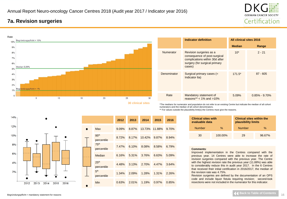

### <span id="page-15-0"></span>**7a. Revision surgeries**



|             | <b>Indicator definition</b>                                                                                                          | <b>All clinical sites 2016</b> |                   |
|-------------|--------------------------------------------------------------------------------------------------------------------------------------|--------------------------------|-------------------|
|             |                                                                                                                                      | <b>Median</b>                  | Range             |
| Numerator   | Revision surgeries as a<br>consequence of post-surgical<br>complications within 30d after<br>surgery (for surgical primary<br>cases) | $10*$                          | $2 - 21$          |
| Denominator | Surgical primary cases (=<br>Indicator 6a)                                                                                           | $171.5*$                       | $87 - 605$        |
| Rate        | Mandatory statement of<br>reasons** $< 1\%$ and $>10\%$                                                                              | 5.09%                          | $0.85\% - 9.70\%$ |

\*The medians for numerator and population do not refer to an existing Centre but indicate the median of all cohort numerators and the median of all cohort denominators.

\*\* For values outside the plausibility limit(s) the Centres must give the reasons.

| <b>Clinical sites with</b><br>evaluable data |         | <b>Clinical sites within the</b><br>plausibility limits |        |  |
|----------------------------------------------|---------|---------------------------------------------------------|--------|--|
| <b>Number</b><br>$\%$                        |         | <b>Number</b>                                           | %      |  |
| 30                                           | 100.00% | 29                                                      | 96.67% |  |

#### **Comments**:

Improved implementation in the Centres compared with the previous year. 14 Centres were able to increase the rate of revision surgeries compared with the previous year. The Centre with the highest revision rate the previous year (11.88%) was able to considerably reduce this in audit year 2017. In the 6 Centres that received their initial certification in 2016/2017, the median of the revision rate was 4.75%.

Revision surgeries are defined by the documentation of an OPS code and include liquor fistula requiring revision; second-look resections were not included in the numerator for this indicator.



|  |                                                                  | 2012  | 2013  | 2014   | 2015   | 2016  |
|--|------------------------------------------------------------------|-------|-------|--------|--------|-------|
|  | Max                                                              | 9.09% | 8.87% | 13.73% | 11.88% | 9.70% |
|  | 95 <sup>th</sup><br>percentile<br>75 <sup>th</sup><br>percentile | 8.72% | 8.17% | 10.42% | 9.87%  | 8.94% |
|  |                                                                  | 7.47% | 6.10% | 8.08%  | 8.58%  | 6.79% |
|  | Median                                                           | 6.16% | 5.31% | 3.76%  | 6.63%  | 5.09% |
|  | 25 <sup>th</sup><br>percentile                                   | 4.48% | 3.13% | 2.70%  | 4.47%  | 3.64% |
|  | 5 <sup>th</sup><br>1.34%<br>percentile                           | 2.09% | 1.28% | 1.31%  | 2.26%  |       |
|  | <b>Min</b>                                                       | 0.63% | 2.01% | 1.19%  | 0.97%  | 0.85% |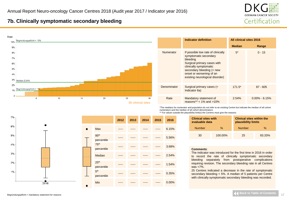

### **7b. Clinically symptomatic secondary bleeding**



|                  | <b>Indicator definition</b>                                                                                                                                                                                                  | All clinical sites 2016 |                   |
|------------------|------------------------------------------------------------------------------------------------------------------------------------------------------------------------------------------------------------------------------|-------------------------|-------------------|
|                  |                                                                                                                                                                                                                              | <b>Median</b>           | Range             |
| <b>Numerator</b> | If possible low rate of clinically<br>symptomatic secondary<br>bleeding<br>Surgical primary cases with<br>clinically symptomatic<br>secondary bleeding (= new<br>onset or worsening of an<br>existing neurological disorder) | $5*$                    | $0 - 15$          |
| Denominator      | Surgical primary cases (=<br>Indicator 6a)                                                                                                                                                                                   | $171.5*$                | $87 - 605$        |
| Rate             | Mandatory statement of<br>reasons** $< 1\%$ and $>10\%$                                                                                                                                                                      | 2.54%                   | $0.00\% - 6.15\%$ |

\*The medians for numerator and population do not refer to an existing Centre but indicate the median of all cohort numerators and the median of all cohort denominators.

\*\* For values outside the plausibility limit(s) the Centres must give the reasons.

| <b>Clinical sites with</b><br>evaluable data |         | <b>Clinical sites within the</b><br>plausibility limits |        |  |
|----------------------------------------------|---------|---------------------------------------------------------|--------|--|
| <b>Number</b>                                | %       | <b>Number</b>                                           | %      |  |
| 30                                           | 100.00% | 25                                                      | 83.33% |  |

#### **Comments**:

The indicator was introduced for the first time in 2016 in order to record the rate of clinically symptomatic secondary bleeding separately from postoperative complications requiring revision. The secondary bleeding rate in all Centres was <7%.

25 Centres indicated a decrease in the rate of symptomatic secondary bleeding < 5%. A median of 5 patients per Centre with clinically symptomatic secondary bleeding was recorded.



|                                | 2012 | 2013 | 2014 | 2015 | 2016  |
|--------------------------------|------|------|------|------|-------|
| <b>Max</b>                     |      |      |      |      | 6.15% |
| 95 <sup>th</sup><br>percentile |      |      |      |      | 5.56% |
| 75 <sup>th</sup><br>percentile |      |      |      |      | 3.68% |
| Median                         |      |      |      |      | 2.54% |
| 25 <sup>th</sup><br>percentile |      |      |      |      | 1.54% |
| 5 <sup>th</sup><br>percentile  |      |      |      |      | 0.35% |
| Min                            |      |      |      |      | 0.00% |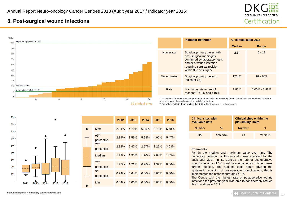

### <span id="page-17-0"></span>**8. Post-surgical wound infections**



|             | Indicator definition                                                                                                                                                         | All clinical sites 2016 |                   |
|-------------|------------------------------------------------------------------------------------------------------------------------------------------------------------------------------|-------------------------|-------------------|
|             |                                                                                                                                                                              | <b>Median</b>           | Range             |
| Numerator   | Surgical primary cases with<br>post-surgical meningitis<br>confirmed by laboratory tests<br>and/or a wound infection<br>requiring surgical revision<br>within 30d of surgery | $2.5*$                  | $0 - 19$          |
| Denominator | Surgical primary cases (=<br>Indicator 6a)                                                                                                                                   | $171.5*$                | $87 - 605$        |
| Rate        | Mandatory statement of<br>reasons** $< 1\%$ and $>10\%$                                                                                                                      | 1.85%                   | $0.00\% - 6.48\%$ |

\*The medians for numerator and population do not refer to an existing Centre but indicate the median of all cohort numerators and the median of all cohort denominators.

\*\* For values outside the plausibility limit(s) the Centres must give the reasons.

 $9%$ 8% 7% 6% 5% 4%  $3%$  $2%$ 1% 2012 2013 2014 2015 2016

|           |                                | 2012  | 2013     | 2014     | 2015     | 2016     |
|-----------|--------------------------------|-------|----------|----------|----------|----------|
| $\bullet$ | Max                            | 2.94% | 4.71%    | 6.35%    | 8.70%    | 6.48%    |
|           | 95 <sup>th</sup><br>percentile | 2.84% | 3.59%    | 5.98%    | 4.90%    | 5.47%    |
|           | 75 <sup>th</sup><br>percentile | 2.32% | 2.47%    | 2.57%    | 3.26%    | 3.03%    |
|           | Median                         | 1.79% | 1.95%    | 1.70%    | 2.04%    | 1.85%    |
|           | 25 <sup>th</sup><br>percentile | 1.25% | 1.71%    | 0.96%    | 1.32%    | 0.86%    |
|           | 5 <sup>th</sup><br>percentile  | 0.94% | 0.64%    | 0.00%    | 0.05%    | 0.00%    |
|           | Min                            | 0.84% | $0.00\%$ | $0.00\%$ | $0.00\%$ | $0.00\%$ |

| <b>Clinical sites with</b><br>evaluable data |         | <b>Clinical sites within the</b><br>plausibility limits |        |  |
|----------------------------------------------|---------|---------------------------------------------------------|--------|--|
| $\%$<br><b>Number</b>                        |         | <b>Number</b>                                           | $\%$   |  |
| 30                                           | 100.00% | つつ                                                      | 73.33% |  |

#### **Comments**:

Fall in the median and maximum value over time The numerator definition of this indicator was specified for the audit year 2017. In 11 Centres the rate of postoperative wound infections of 0% could be maintained or in other cases further reduced. The auditors once again advised the systematic recording of postoperative complications; this is implemented for instance through SOPs.

The Centre with the highest rate of postoperative wound infections the previous year was able to considerably reduce this in audit year 2017.